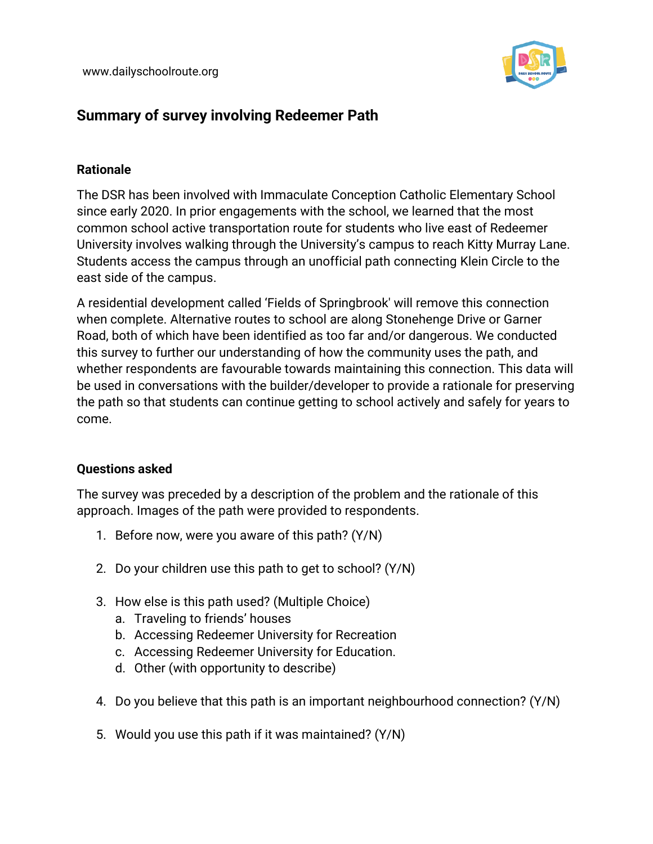www.dailyschoolroute.org



## **Summary of survey involving Redeemer Path**

## **Rationale**

The DSR has been involved with Immaculate Conception Catholic Elementary School since early 2020. In prior engagements with the school, we learned that the most common school active transportation route for students who live east of Redeemer University involves walking through the University's campus to reach Kitty Murray Lane. Students access the campus through an unofficial path connecting Klein Circle to the east side of the campus.

A residential development called 'Fields of Springbrook' will remove this connection when complete. Alternative routes to school are along Stonehenge Drive or Garner Road, both of which have been identified as too far and/or dangerous. We conducted this survey to further our understanding of how the community uses the path, and whether respondents are favourable towards maintaining this connection. This data will be used in conversations with the builder/developer to provide a rationale for preserving the path so that students can continue getting to school actively and safely for years to come.

## **Questions asked**

The survey was preceded by a description of the problem and the rationale of this approach. Images of the path were provided to respondents.

- 1. Before now, were you aware of this path? (Y/N)
- 2. Do your children use this path to get to school? (Y/N)
- 3. How else is this path used? (Multiple Choice)
	- a. Traveling to friends' houses
	- b. Accessing Redeemer University for Recreation
	- c. Accessing Redeemer University for Education.
	- d. Other (with opportunity to describe)
- 4. Do you believe that this path is an important neighbourhood connection? (Y/N)
- 5. Would you use this path if it was maintained? (Y/N)